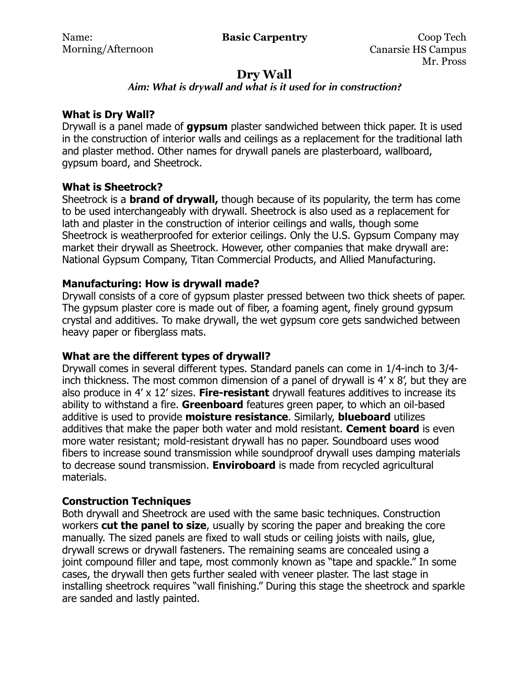# **Dry Wall**

## *Aim: What is drywall and what is it used for in construction?*

## **What is Dry Wall?**

Drywall is a panel made of **gypsum** plaster sandwiched between thick paper. It is used in the construction of interior walls and ceilings as a replacement for the traditional lath and plaster method. Other names for drywall panels are plasterboard, wallboard, gypsum board, and Sheetrock.

## **What is Sheetrock?**

Sheetrock is a **brand of drywall,** though because of its popularity, the term has come to be used interchangeably with drywall. Sheetrock is also used as a replacement for lath and plaster in the construction of interior ceilings and walls, though some Sheetrock is weatherproofed for exterior ceilings. Only the U.S. Gypsum Company may market their drywall as Sheetrock. However, other companies that make drywall are: National Gypsum Company, Titan Commercial Products, and Allied Manufacturing.

## **Manufacturing: How is drywall made?**

Drywall consists of a core of gypsum plaster pressed between two thick sheets of paper. The gypsum plaster core is made out of fiber, a foaming agent, finely ground gypsum crystal and additives. To make drywall, the wet gypsum core gets sandwiched between heavy paper or fiberglass mats.

## **What are the different types of drywall?**

Drywall comes in several different types. Standard panels can come in 1/4-inch to 3/4 inch thickness. The most common dimension of a panel of drywall is  $4' \times 8'$ , but they are also produce in 4' x 12' sizes. **Fire-resistant** drywall features additives to increase its ability to withstand a fire. **Greenboard** features green paper, to which an oil-based additive is used to provide **moisture resistance**. Similarly, **blueboard** utilizes additives that make the paper both water and mold resistant. **Cement board** is even more water resistant; mold-resistant drywall has no paper. Soundboard uses wood fibers to increase sound transmission while soundproof drywall uses damping materials to decrease sound transmission. **Enviroboard** is made from recycled agricultural materials.

## **Construction Techniques**

Both drywall and Sheetrock are used with the same basic techniques. Construction workers **cut the panel to size**, usually by scoring the paper and breaking the core manually. The sized panels are fixed to wall studs or ceiling [joists](https://www.diffen.com/difference/Joist_vs_Truss) with nails, glue, drywall screws or drywall fasteners. The remaining seams are concealed using a joint [compound](https://www.diffen.com/difference/Compound_vs_Element) filler and tape, most commonly known as "tape and spackle." In some cases, the drywall then gets [further](https://www.diffen.com/difference/Farther_vs_Further) sealed with veneer plaster. The last stage in installing sheetrock requires "wall finishing." During this stage the sheetrock and sparkle are sanded and lastly painted.